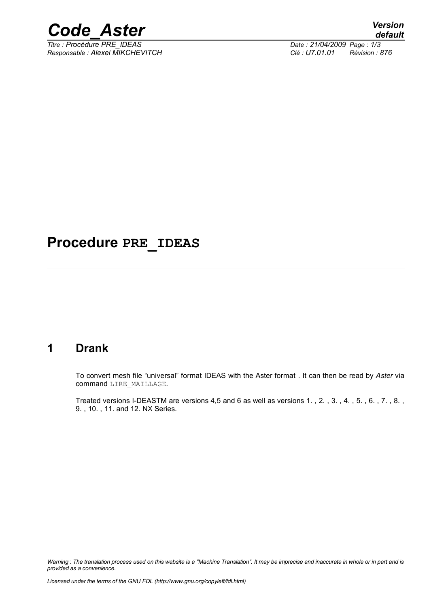

*Titre : Procédure PRE\_IDEAS Date : 21/04/2009 Page : 1/3 Responsable : Alexei MIKCHEVITCH Clé : U7.01.01 Révision : 876*

# **Procedure PRE\_IDEAS**

### **1 Drank**

To convert mesh file "universal" format IDEAS with the Aster format . It can then be read by *Aster* via command LIRE\_MAILLAGE.

Treated versions I-DEASTM are versions 4,5 and 6 as well as versions 1. , 2. , 3. , 4. , 5. , 6. , 7. , 8. , 9. , 10. , 11. and 12. NX Series.

*Warning : The translation process used on this website is a "Machine Translation". It may be imprecise and inaccurate in whole or in part and is provided as a convenience.*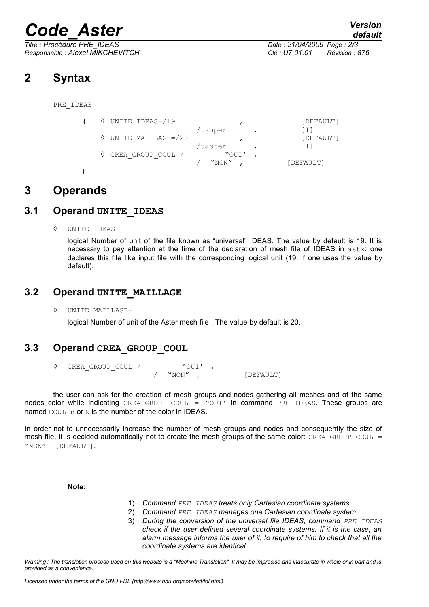# *Code\_Aster Version*

*Responsable : Alexei MIKCHEVITCH Clé : U7.01.01 Révision : 876*

# *default*

*Titre : Procédure PRE\_IDEAS Date : 21/04/2009 Page : 2/3*

# **2 Syntax**

PRE\_IDEAS

|  | UNITE IDEAS=/19               |         | [DEFAULT] |
|--|-------------------------------|---------|-----------|
|  |                               | /usuper |           |
|  | $\Diamond$ UNITE MAILLAGE=/20 |         | [DEFAULT] |
|  |                               | /uaster |           |
|  | CREA GROUP COUL=/             | "OUI'   |           |
|  |                               | "NON"   | [DEFAULT] |

#### **)**

# **3 Operands**

#### **3.1 Operand UNITE\_IDEAS**

◊ UNITE\_IDEAS

logical Number of unit of the file known as "universal" IDEAS. The value by default is 19. It is necessary to pay attention at the time of the declaration of mesh file of IDEAS in  $astk$ : one declares this file like input file with the corresponding logical unit (19, if one uses the value by default).

#### **3.2 Operand UNITE\_MAILLAGE**

◊ UNITE\_MAILLAGE=

logical Number of unit of the Aster mesh file . The value by default is 20.

### **3.3 Operand CREA\_GROUP\_COUL**

◊ CREA\_GROUP\_COUL=/ "OUI' , "NON", [DEFAULT]

the user can ask for the creation of mesh groups and nodes gathering all meshes and of the same nodes color while indicating CREA GROUP COUL = "OUI' in command PRE IDEAS. These groups are named COUL n or N is the number of the color in IDEAS.

In order not to unnecessarily increase the number of mesh groups and nodes and consequently the size of mesh file, it is decided automatically not to create the mesh groups of the same color: CREA\_GROUP\_COUL = "NON" [DEFAULT].

**Note:**

- 1) *Command PRE\_IDEAS treats only Cartesian coordinate systems.*
- 2) *Command PRE\_IDEAS manages one Cartesian coordinate system.*
- 3) *During the conversion of the universal file IDEAS, command PRE\_IDEAS check if the user defined several coordinate systems. If it is the case, an alarm message informs the user of it, to require of him to check that all the coordinate systems are identical.*

*Warning : The translation process used on this website is a "Machine Translation". It may be imprecise and inaccurate in whole or in part and is provided as a convenience.*